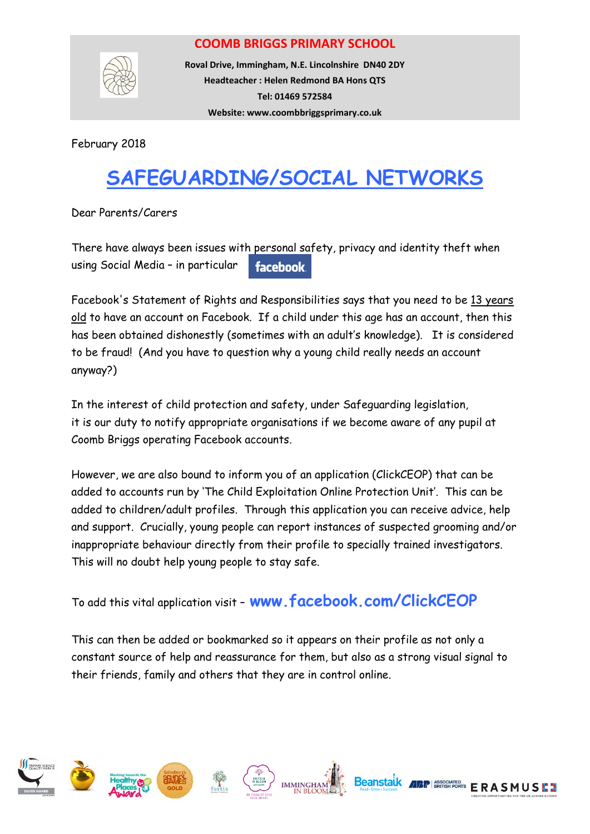## **COOMB BRIGGS PRIMARY SCHOOL**



**Roval Drive, Immingham, N.E. Lincolnshire DN40 2DY Headteacher : Helen Redmond BA Hons QTS Tel: 01469 572584 Website: www.coombbriggsprimary.co.uk**

February 2018

## **SAFEGUARDING/SOCIAL NETWORKS**

Dear Parents/Carers

There have always been issues with personal safety, privacy and identity theft when using Social Media – in particular **facebook** 

Facebook's Statement of Rights and Responsibilities says that you need to be 13 years old to have an account on Facebook. If a child under this age has an account, then this has been obtained dishonestly (sometimes with an adult's knowledge). It is considered to be fraud! (And you have to question why a young child really needs an account anyway?)

In the interest of child protection and safety, under Safeguarding legislation, it is our duty to notify appropriate organisations if we become aware of any pupil at Coomb Briggs operating Facebook accounts.

However, we are also bound to inform you of an application (ClickCEOP) that can be added to accounts run by 'The Child Exploitation Online Protection Unit'. This can be added to children/adult profiles. Through this application you can receive advice, help and support. Crucially, young people can report instances of suspected grooming and/or inappropriate behaviour directly from their profile to specially trained investigators. This will no doubt help young people to stay safe.

To add this vital application visit – **www.facebook.com/ClickCEOP**

This can then be added or bookmarked so it appears on their profile as not only a constant source of help and reassurance for them, but also as a strong visual signal to their friends, family and others that they are in control online.











**ERASMUSE?**